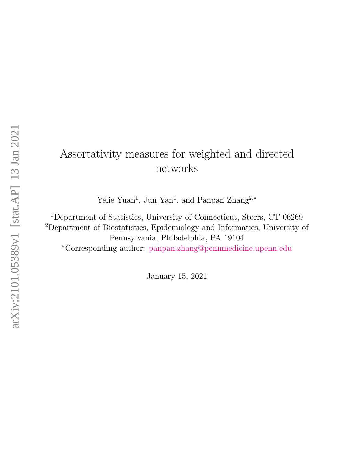# Assortativity measures for weighted and directed networks

Yelie Yuan<sup>1</sup>, Jun Yan<sup>1</sup>, and Panpan Zhang<sup>2,\*</sup>

<sup>1</sup>Department of Statistics, University of Connecticut, Storrs, CT 06269 <sup>2</sup>Department of Biostatistics, Epidemiology and Informatics, University of Pennsylvania, Philadelphia, PA 19104 <sup>∗</sup>Corresponding author: [panpan.zhang@pennmedicine.upenn.edu](mailto:panpan.zhang@pennmedicine.upenn.edu)

January 15, 2021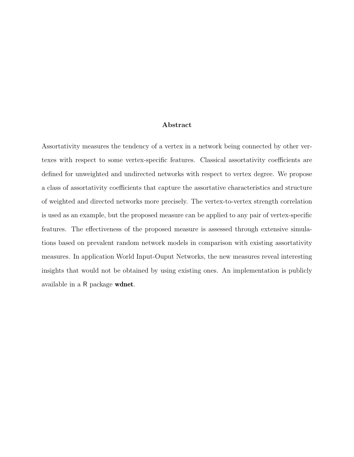#### Abstract

Assortativity measures the tendency of a vertex in a network being connected by other vertexes with respect to some vertex-specific features. Classical assortativity coefficients are defined for unweighted and undirected networks with respect to vertex degree. We propose a class of assortativity coefficients that capture the assortative characteristics and structure of weighted and directed networks more precisely. The vertex-to-vertex strength correlation is used as an example, but the proposed measure can be applied to any pair of vertex-specific features. The effectiveness of the proposed measure is assessed through extensive simulations based on prevalent random network models in comparison with existing assortativity measures. In application World Input-Ouput Networks, the new measures reveal interesting insights that would not be obtained by using existing ones. An implementation is publicly available in a R package wdnet.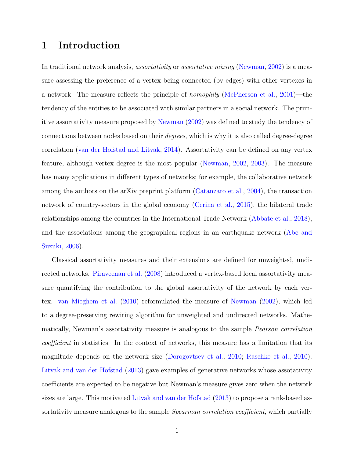#### 1 Introduction

In traditional network analysis, *assortativity* or *assortative mixing* [\(Newman,](#page-22-0) [2002\)](#page-22-0) is a measure assessing the preference of a vertex being connected (by edges) with other vertexes in a network. The measure reflects the principle of homophily [\(McPherson et al.,](#page-22-1) [2001\)](#page-22-1)—the tendency of the entities to be associated with similar partners in a social network. The primitive assortativity measure proposed by [Newman](#page-22-0) [\(2002\)](#page-22-0) was defined to study the tendency of connections between nodes based on their degrees, which is why it is also called degree-degree correlation [\(van der Hofstad and Litvak,](#page-23-0) [2014\)](#page-23-0). Assortativity can be defined on any vertex feature, although vertex degree is the most popular [\(Newman,](#page-22-0) [2002,](#page-22-0) [2003\)](#page-22-2). The measure has many applications in different types of networks; for example, the collaborative network among the authors on the arXiv preprint platform [\(Catanzaro et al.,](#page-21-0) [2004\)](#page-21-0), the transaction network of country-sectors in the global economy [\(Cerina et al.,](#page-21-1) [2015\)](#page-21-1), the bilateral trade relationships among the countries in the International Trade Network [\(Abbate et al.,](#page-21-2) [2018\)](#page-21-2), and the associations among the geographical regions in an earthquake network [\(Abe and](#page-21-3) [Suzuki,](#page-21-3) [2006\)](#page-21-3).

Classical assortativity measures and their extensions are defined for unweighted, undirected networks. [Piraveenan et al.](#page-23-1) [\(2008\)](#page-23-1) introduced a vertex-based local assortativity measure quantifying the contribution to the global assortativity of the network by each vertex. [van Mieghem et al.](#page-23-2) [\(2010\)](#page-23-2) reformulated the measure of [Newman](#page-22-0) [\(2002\)](#page-22-0), which led to a degree-preserving rewiring algorithm for unweighted and undirected networks. Mathematically, Newman's assortativity measure is analogous to the sample Pearson correlation coefficient in statistics. In the context of networks, this measure has a limitation that its magnitude depends on the network size [\(Dorogovtsev et al.,](#page-22-3) [2010;](#page-22-3) [Raschke et al.,](#page-23-3) [2010\)](#page-23-3). [Litvak and van der Hofstad](#page-22-4) [\(2013\)](#page-22-4) gave examples of generative networks whose assotativity coefficients are expected to be negative but Newman's measure gives zero when the network sizes are large. This motivated [Litvak and van der Hofstad](#page-22-4) [\(2013\)](#page-22-4) to propose a rank-based assortativity measure analogous to the sample *Spearman correlation coefficient*, which partially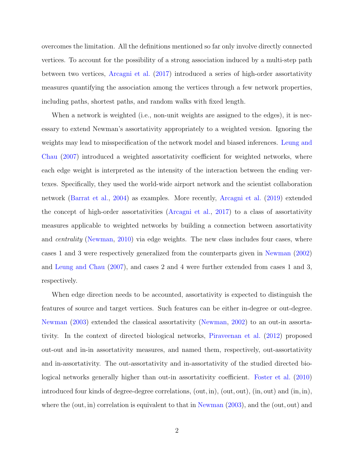overcomes the limitation. All the definitions mentioned so far only involve directly connected vertices. To account for the possibility of a strong association induced by a multi-step path between two vertices, [Arcagni et al.](#page-21-4) [\(2017\)](#page-21-4) introduced a series of high-order assortativity measures quantifying the association among the vertices through a few network properties, including paths, shortest paths, and random walks with fixed length.

When a network is weighted (i.e., non-unit weights are assigned to the edges), it is necessary to extend Newman's assortativity appropriately to a weighted version. Ignoring the weights may lead to misspecification of the network model and biased inferences. [Leung and](#page-22-5) [Chau](#page-22-5) [\(2007\)](#page-22-5) introduced a weighted assortativity coefficient for weighted networks, where each edge weight is interpreted as the intensity of the interaction between the ending vertexes. Specifically, they used the world-wide airport network and the scientist collaboration network [\(Barrat et al.,](#page-21-5) [2004\)](#page-21-5) as examples. More recently, [Arcagni et al.](#page-21-6) [\(2019\)](#page-21-6) extended the concept of high-order assortativities [\(Arcagni et al.,](#page-21-4) [2017\)](#page-21-4) to a class of assortativity measures applicable to weighted networks by building a connection between assortativity and *centrality* [\(Newman,](#page-22-6) [2010\)](#page-22-6) via edge weights. The new class includes four cases, where cases 1 and 3 were respectively generalized from the counterparts given in [Newman](#page-22-0) [\(2002\)](#page-22-0) and [Leung and Chau](#page-22-5) [\(2007\)](#page-22-5), and cases 2 and 4 were further extended from cases 1 and 3, respectively.

When edge direction needs to be accounted, assortativity is expected to distinguish the features of source and target vertices. Such features can be either in-degree or out-degree. [Newman](#page-22-2) [\(2003\)](#page-22-2) extended the classical assortativity [\(Newman,](#page-22-0) [2002\)](#page-22-0) to an out-in assortativity. In the context of directed biological networks, [Piraveenan et al.](#page-23-4) [\(2012\)](#page-23-4) proposed out-out and in-in assortativity measures, and named them, respectively, out-assortativity and in-assortativity. The out-assortativity and in-assortativity of the studied directed biological networks generally higher than out-in assortativity coefficient. [Foster et al.](#page-22-7) [\(2010\)](#page-22-7) introduced four kinds of degree-degree correlations, (out, in), (out, out), (in, out) and (in, in), where the (out, in) correlation is equivalent to that in [Newman](#page-22-2)  $(2003)$ , and the (out, out) and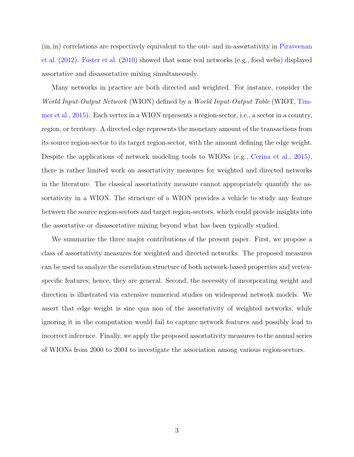(in, in) correlations are respectively equivalent to the out- and in-assortativity in [Piraveenan](#page-23-4) [et al.](#page-23-4) [\(2012\)](#page-23-4). [Foster et al.](#page-22-7) [\(2010\)](#page-22-7) showed that some real networks (e.g., food webs) displayed assortative and disassortative mixing simultaneously.

Many networks in practice are both directed and weighted. For instance, consider the World Input-Output Network (WION) defined by a World Input-Output Table (WIOT, [Tim](#page-23-5)[mer et al.,](#page-23-5) [2015\)](#page-23-5). Each vertex in a WION represents a region-sector, i.e., a sector in a country, region, or territory. A directed edge represents the monetary amount of the transactions from its source region-sector to its target region-sector, with the amount defining the edge weight. Despite the applications of network modeling tools to WIONs (e.g., [Cerina et al.,](#page-21-1) [2015\)](#page-21-1), there is rather limited work on assortativity measures for weighted and directed networks in the literature. The classical assortativity measure cannot appropriately quantify the assortativity in a WION. The structure of a WION provides a vehicle to study any feature between the source region-sectors and target region-sectors, which could provide insights into the assortative or disassortative mixing beyond what has been typically studied.

We summarize the three major contributions of the present paper. First, we propose a class of assortativity measures for weighted and directed networks. The proposed measures can be used to analyze the correlation structure of both network-based properties and vertexspecific features; hence, they are general. Second, the necessity of incorporating weight and direction is illustrated via extensive numerical studies on widespread network models. We assert that edge weight is sine qua non of the assortativity of weighted networks, while ignoring it in the computation would fail to capture network features and possibly lead to incorrect inference. Finally, we apply the proposed assortativity measures to the annual series of WIONs from 2000 to 2004 to investigate the association among various region-sectors.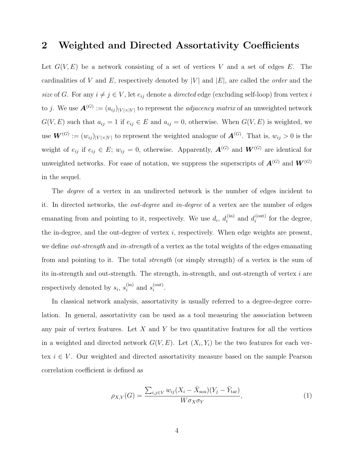#### 2 Weighted and Directed Assortativity Coefficients

Let  $G(V, E)$  be a network consisting of a set of vertices V and a set of edges E. The cardinalities of V and E, respectively denoted by  $|V|$  and  $|E|$ , are called the *order* and the size of G. For any  $i \neq j \in V$ , let  $e_{ij}$  denote a *directed* edge (excluding self-loop) from vertex i to j. We use  $\mathbf{A}^{(G)} := (a_{ij})_{|V| \times |V|}$  to represent the *adjacency matrix* of an unweighted network  $G(V, E)$  such that  $a_{ij} = 1$  if  $e_{ij} \in E$  and  $a_{ij} = 0$ , otherwise. When  $G(V, E)$  is weighted, we use  $\mathbf{W}^{(G)} := (w_{ij})_{|V| \times |V|}$  to represent the weighted analogue of  $\mathbf{A}^{(G)}$ . That is,  $w_{ij} > 0$  is the weight of  $e_{ij}$  if  $e_{ij} \in E$ ;  $w_{ij} = 0$ , otherwise. Apparently,  $\mathbf{A}^{(G)}$  and  $\mathbf{W}^{(G)}$  are identical for unweighted networks. For ease of notation, we suppress the superscripts of  $\mathbf{A}^{(G)}$  and  $\mathbf{W}^{(G)}$ in the sequel.

The *degree* of a vertex in an undirected network is the number of edges incident to it. In directed networks, the out-degree and in-degree of a vertex are the number of edges emanating from and pointing to it, respectively. We use  $d_i$ ,  $d_i^{(in)}$  $i_i^{\text{(in)}}$  and  $d_i^{\text{(out)}}$  $i^{(\text{out})}$  for the degree, the in-degree, and the out-degree of vertex  $i$ , respectively. When edge weights are present, we define *out-strength* and *in-strength* of a vertex as the total weights of the edges emanating from and pointing to it. The total strength (or simply strength) of a vertex is the sum of its in-strength and out-strength. The strength, in-strength, and out-strength of vertex  $i$  are respectively denoted by  $s_i$ ,  $s_i^{\text{(in)}}$  $i^{(in)}$  and  $s_i^{(out)}$  $\sum_{i}^{\text{(out)}}$ .

In classical network analysis, assortativity is usually referred to a degree-degree correlation. In general, assortativity can be used as a tool measuring the association between any pair of vertex features. Let  $X$  and  $Y$  be two quantitative features for all the vertices in a weighted and directed network  $G(V, E)$ . Let  $(X_i, Y_i)$  be the two features for each vertex  $i \in V$ . Our weighted and directed assortativity measure based on the sample Pearson correlation coefficient is defined as

<span id="page-5-0"></span>
$$
\rho_{X,Y}(G) = \frac{\sum_{i,j \in V} w_{ij} (X_i - \bar{X}_{\text{sou}})(Y_j - \bar{Y}_{\text{tar}})}{W \sigma_X \sigma_Y},\tag{1}
$$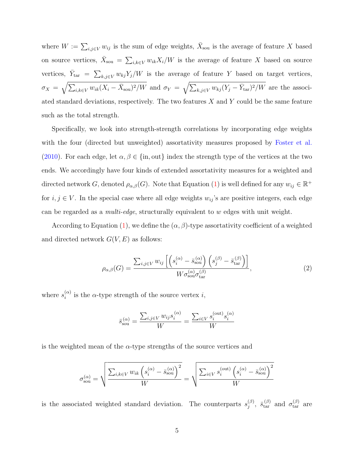where  $W := \sum_{i,j \in V} w_{ij}$  is the sum of edge weights,  $\bar{X}_{sou}$  is the average of feature X based on source vertices,  $\bar{X}_{s\text{ou}} = \sum_{i,k \in V} w_{ik} X_i/W$  is the average of feature X based on source vertices,  $\bar{Y}_{\text{tar}} = \sum_{k,j \in V} w_{kj} Y_j/W$  is the average of feature Y based on target vertices,  $\sigma_X = \sqrt{\sum_{i,k \in V} w_{ik} (X_i - \bar{X}_{sou})^2/W}$  and  $\sigma_Y = \sqrt{\sum_{k,j \in V} w_{kj} (Y_j - \bar{Y}_{tar})^2/W}$  are the associated standard deviations, respectively. The two features  $X$  and  $Y$  could be the same feature such as the total strength.

Specifically, we look into strength-strength correlations by incorporating edge weights with the four (directed but unweighted) assortativity measures proposed by [Foster et al.](#page-22-7) [\(2010\)](#page-22-7). For each edge, let  $\alpha, \beta \in \{\text{in}, \text{out}\}\$  index the strength type of the vertices at the two ends. We accordingly have four kinds of extended assortativity measures for a weighted and directed network G, denoted  $\rho_{\alpha,\beta}(G)$ . Note that Equation [\(1\)](#page-5-0) is well defined for any  $w_{ij} \in \mathbb{R}^+$ for  $i, j \in V$ . In the special case where all edge weights  $w_{ij}$ 's are positive integers, each edge can be regarded as a *multi-edge*, structurally equivalent to  $w$  edges with unit weight.

According to Equation [\(1\)](#page-5-0), we define the  $(\alpha, \beta)$ -type assortativity coefficient of a weighted and directed network  $G(V, E)$  as follows:

<span id="page-6-0"></span>
$$
\rho_{\alpha,\beta}(G) = \frac{\sum_{i,j \in V} w_{ij} \left[ \left( s_i^{(\alpha)} - \bar{s}_{\text{sou}}^{(\alpha)} \right) \left( s_j^{(\beta)} - \bar{s}_{\text{tar}}^{(\beta)} \right) \right]}{W \sigma_{\text{sou}}^{(\alpha)} \sigma_{\text{tar}}^{(\beta)}},\tag{2}
$$

where  $s_i^{(\alpha)}$  $i^{(\alpha)}$  is the  $\alpha$ -type strength of the source vertex i,

$$
\bar{s}_{sou}^{(\alpha)} = \frac{\sum_{i,j \in V} w_{ij} s_i^{(\alpha)}}{W} = \frac{\sum_{i \in V} s_i^{(\text{out})} s_i^{(\alpha)}}{W}
$$

is the weighted mean of the  $\alpha$ -type strengths of the source vertices and

$$
\sigma_{\text{sou}}^{(\alpha)} = \sqrt{\frac{\sum_{i,k \in V} w_{ik} \left(s_i^{(\alpha)} - \bar{s}_{\text{sou}}^{(\alpha)}\right)^2}{W}} = \sqrt{\frac{\sum_{i \in V} s_i^{(\text{out})} \left(s_i^{(\alpha)} - \bar{s}_{\text{sou}}^{(\alpha)}\right)^2}{W}}
$$

is the associated weighted standard deviation. The counterparts  $s_i^{(\beta)}$  $j^{(\beta)}$ ,  $\bar{s}_{\text{tar}}^{(\beta)}$  and  $\sigma_{\text{tar}}^{(\beta)}$  are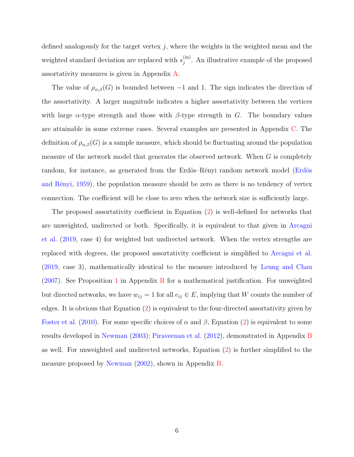defined analogously for the target vertex  $j$ , where the weights in the weighted mean and the weighted standard deviation are replaced with  $s_i^{(in)}$  $j^{(m)}$ . An illustrative example of the proposed assortativity measures is given in Appendix [A.](#page-24-0)

The value of  $\rho_{\alpha,\beta}(G)$  is bounded between -1 and 1. The sign indicates the direction of the assortativity. A larger magnitude indicates a higher assortativity between the vertices with large  $\alpha$ -type strength and those with  $\beta$ -type strength in G. The boundary values are attainable in some extreme cases. Several examples are presented in Appendix [C.](#page-26-0) The definition of  $\rho_{\alpha,\beta}(G)$  is a sample measure, which should be fluctuating around the population measure of the network model that generates the observed network. When  $G$  is completely random, for instance, as generated from the Erdös–Rényi random network model (Erdös and Rényi, [1959\)](#page-22-8), the population measure should be zero as there is no tendency of vertex connection. The coefficient will be close to zero when the network size is sufficiently large.

The proposed assortativity coefficient in Equation [\(2\)](#page-6-0) is well-defined for networks that are unweighted, undirected or both. Specifically, it is equivalent to that given in [Arcagni](#page-21-6) [et al.](#page-21-6) [\(2019,](#page-21-6) case 4) for weighted but undirected network. When the vertex strengths are replaced with degrees, the proposed assortativity coefficient is simplified to [Arcagni et al.](#page-21-6) [\(2019,](#page-21-6) case 3), mathematically identical to the measure introduced by [Leung and Chau](#page-22-5) [\(2007\)](#page-22-5). See Proposition [1](#page-25-0) in Appendix [B](#page-25-1) for a mathematical justification. For unweighted but directed networks, we have  $w_{ij} = 1$  for all  $e_{ij} \in E$ , implying that W counts the number of edges. It is obvious that Equation [\(2\)](#page-6-0) is equivalent to the four-directed assortativity given by [Foster et al.](#page-22-7) [\(2010\)](#page-22-7). For some specific choices of  $\alpha$  and  $\beta$ , Equation [\(2\)](#page-6-0) is equivalent to some results developed in [Newman](#page-22-2) [\(2003\)](#page-22-2); [Piraveenan et al.](#page-23-4) [\(2012\)](#page-23-4), demonstrated in Appendix [B](#page-25-1) as well. For unweighted and undirected networks, Equation [\(2\)](#page-6-0) is further simplified to the measure proposed by [Newman](#page-22-0) [\(2002\)](#page-22-0), shown in Appendix [B.](#page-25-1)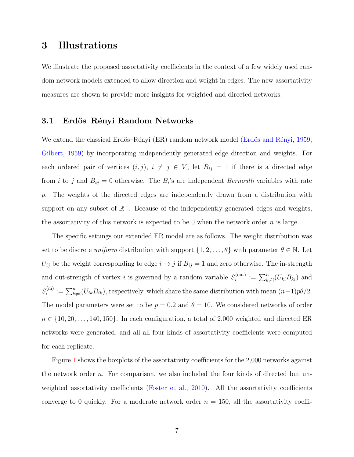### 3 Illustrations

We illustrate the proposed assortativity coefficients in the context of a few widely used random network models extended to allow direction and weight in edges. The new assortativity measures are shown to provide more insights for weighted and directed networks.

#### 3.1 Erdös–Rényi Random Networks

We extend the classical Erdös–Rényi (ER) random network model (Erdös and Rényi, [1959;](#page-22-8) [Gilbert,](#page-22-9) [1959\)](#page-22-9) by incorporating independently generated edge direction and weights. For each ordered pair of vertices  $(i, j)$ ,  $i \neq j \in V$ , let  $B_{ij} = 1$  if there is a directed edge from *i* to *j* and  $B_{ij} = 0$  otherwise. The  $B_i$ 's are independent *Bernoulli* variables with rate p. The weights of the directed edges are independently drawn from a distribution with support on any subset of  $\mathbb{R}^+$ . Because of the independently generated edges and weights, the assortativity of this network is expected to be 0 when the network order  $n$  is large.

The specific settings our extended ER model are as follows. The weight distribution was set to be discrete uniform distribution with support  $\{1, 2, \ldots, \theta\}$  with parameter  $\theta \in \mathbb{N}$ . Let  $U_{ij}$  be the weight corresponding to edge  $i \to j$  if  $B_{ij} = 1$  and zero otherwise. The in-strength and out-strength of vertex *i* is governed by a random variable  $S_i^{(out)}$  $i_i^{\text{(out)}} := \sum_{k \neq i}^n (U_{ki}B_{ki})$  and  $S_i^{\rm (in)}$  $\mathcal{E}_i^{(in)} := \sum_{k \neq i}^n (U_{ik}B_{ik}),$  respectively, which share the same distribution with mean  $(n-1)p\theta/2$ . The model parameters were set to be  $p = 0.2$  and  $\theta = 10$ . We considered networks of order  $n \in \{10, 20, \ldots, 140, 150\}$ . In each configuration, a total of 2,000 weighted and directed ER networks were generated, and all all four kinds of assortativity coefficients were computed for each replicate.

Figure [1](#page-9-0) shows the boxplots of the assortativity coefficients for the 2,000 networks against the network order  $n$ . For comparison, we also included the four kinds of directed but un-weighted assortativity coefficients [\(Foster et al.,](#page-22-7) [2010\)](#page-22-7). All the assortativity coefficients converge to 0 quickly. For a moderate network order  $n = 150$ , all the assortativity coeffi-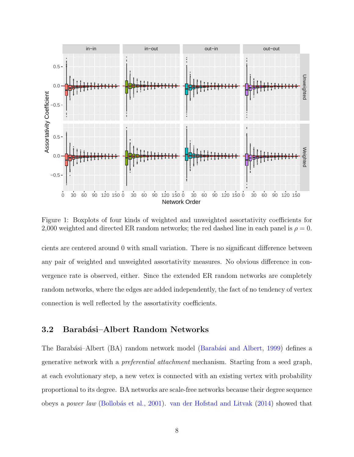

<span id="page-9-0"></span>Figure 1: Boxplots of four kinds of weighted and unweighted assortativity coefficients for 2,000 weighted and directed ER random networks; the red dashed line in each panel is  $\rho = 0$ .

cients are centered around 0 with small variation. There is no significant difference between any pair of weighted and unweighted assortativity measures. No obvious difference in convergence rate is observed, either. Since the extended ER random networks are completely random networks, where the edges are added independently, the fact of no tendency of vertex connection is well reflected by the assortativity coefficients.

#### <span id="page-9-1"></span>3.2 Barabási–Albert Random Networks

The Barabási–Albert (BA) random network model (Barabási and Albert, [1999\)](#page-21-7) defines a generative network with a preferential attachment mechanism. Starting from a seed graph, at each evolutionary step, a new vetex is connected with an existing vertex with probability proportional to its degree. BA networks are scale-free networks because their degree sequence obeys a power law [\(Bollob´as et al.,](#page-21-8) [2001\)](#page-21-8). [van der Hofstad and Litvak](#page-23-0) [\(2014\)](#page-23-0) showed that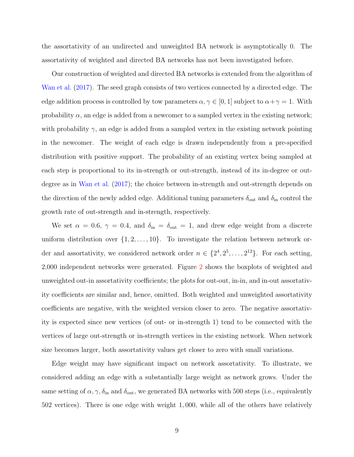the assortativity of an undirected and unweighted BA network is asymptotically 0. The assortativity of weighted and directed BA networks has not been investigated before.

Our construction of weighted and directed BA networks is extended from the algorithm of [Wan et al.](#page-24-1) [\(2017\)](#page-24-1). The seed graph consists of two vertices connected by a directed edge. The edge addition process is controlled by tow parameters  $\alpha, \gamma \in [0, 1]$  subject to  $\alpha + \gamma = 1$ . With probability  $\alpha$ , an edge is added from a newcomer to a sampled vertex in the existing network; with probability  $\gamma$ , an edge is added from a sampled vertex in the existing network pointing in the newcomer. The weight of each edge is drawn independently from a pre-specified distribution with positive support. The probability of an existing vertex being sampled at each step is proportional to its in-strength or out-strength, instead of its in-degree or outdegree as in [Wan et al.](#page-24-1) [\(2017\)](#page-24-1); the choice between in-strength and out-strength depends on the direction of the newly added edge. Additional tuning parameters  $\delta_{\text{out}}$  and  $\delta_{\text{in}}$  control the growth rate of out-strength and in-strength, respectively.

We set  $\alpha = 0.6$ ,  $\gamma = 0.4$ , and  $\delta_{\rm in} = \delta_{\rm out} = 1$ , and drew edge weight from a discrete uniform distribution over  $\{1, 2, \ldots, 10\}$ . To investigate the relation between network order and assortativity, we considered network order  $n \in \{2^4, 2^5, \ldots, 2^{12}\}\.$  For each setting, 2,000 independent networks were generated. Figure [2](#page-11-0) shows the boxplots of weighted and unweighted out-in assortativity coefficients; the plots for out-out, in-in, and in-out assortativity coefficients are similar and, hence, omitted. Both weighted and unweighted assortativity coefficients are negative, with the weighted version closer to zero. The negative assortativity is expected since new vertices (of out- or in-strength 1) tend to be connected with the vertices of large out-strength or in-strength vertices in the existing network. When network size becomes larger, both assortativity values get closer to zero with small variations.

Edge weight may have significant impact on network assortativity. To illustrate, we considered adding an edge with a substantially large weight as network grows. Under the same setting of  $\alpha$ ,  $\gamma$ ,  $\delta_{\rm in}$  and  $\delta_{\rm out}$ , we generated BA networks with 500 steps (i.e., equivalently 502 vertices). There is one edge with weight 1, 000, while all of the others have relatively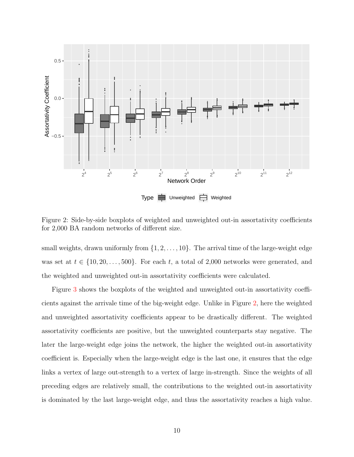

<span id="page-11-0"></span>Figure 2: Side-by-side boxplots of weighted and unweighted out-in assortativity coefficients for 2,000 BA random networks of different size.

small weights, drawn uniformly from  $\{1, 2, \ldots, 10\}$ . The arrival time of the large-weight edge was set at  $t \in \{10, 20, \ldots, 500\}$ . For each t, a total of 2,000 networks were generated, and the weighted and unweighted out-in assortativity coefficients were calculated.

Figure [3](#page-12-0) shows the boxplots of the weighted and unweighted out-in assortativity coefficients against the arrivale time of the big-weight edge. Unlike in Figure [2,](#page-11-0) here the weighted and unweighted assortativity coefficients appear to be drastically different. The weighted assortativity coefficients are positive, but the unweighted counterparts stay negative. The later the large-weight edge joins the network, the higher the weighted out-in assortativity coefficient is. Especially when the large-weight edge is the last one, it ensures that the edge links a vertex of large out-strength to a vertex of large in-strength. Since the weights of all preceding edges are relatively small, the contributions to the weighted out-in assortativity is dominated by the last large-weight edge, and thus the assortativity reaches a high value.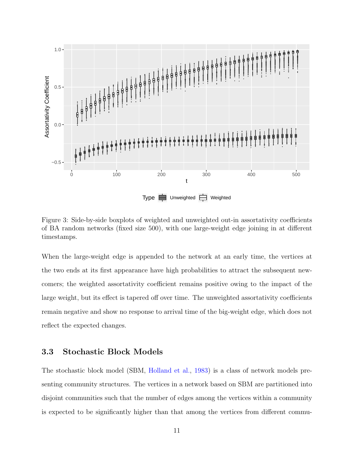

<span id="page-12-0"></span>Figure 3: Side-by-side boxplots of weighted and unweighted out-in assortativity coefficients of BA random networks (fixed size 500), with one large-weight edge joining in at different timestamps.

When the large-weight edge is appended to the network at an early time, the vertices at the two ends at its first appearance have high probabilities to attract the subsequent newcomers; the weighted assortativity coefficient remains positive owing to the impact of the large weight, but its effect is tapered off over time. The unweighted assortativity coefficients remain negative and show no response to arrival time of the big-weight edge, which does not reflect the expected changes.

#### 3.3 Stochastic Block Models

The stochastic block model (SBM, [Holland et al.,](#page-22-10) [1983\)](#page-22-10) is a class of network models presenting community structures. The vertices in a network based on SBM are partitioned into disjoint communities such that the number of edges among the vertices within a community is expected to be significantly higher than that among the vertices from different commu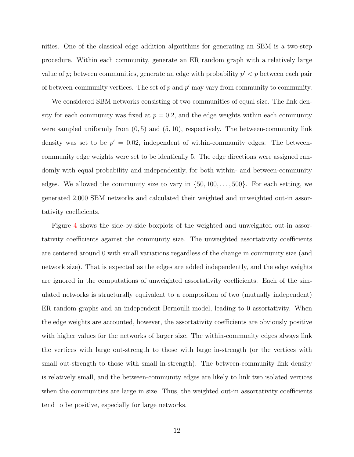nities. One of the classical edge addition algorithms for generating an SBM is a two-step procedure. Within each community, generate an ER random graph with a relatively large value of p; between communities, generate an edge with probability  $p' < p$  between each pair of between-community vertices. The set of  $p$  and  $p'$  may vary from community to community.

We considered SBM networks consisting of two communities of equal size. The link density for each community was fixed at  $p = 0.2$ , and the edge weights within each community were sampled uniformly from  $(0, 5)$  and  $(5, 10)$ , respectively. The between-community link density was set to be  $p' = 0.02$ , independent of within-community edges. The betweencommunity edge weights were set to be identically 5. The edge directions were assigned randomly with equal probability and independently, for both within- and between-community edges. We allowed the community size to vary in  $\{50, 100, \ldots, 500\}$ . For each setting, we generated 2,000 SBM networks and calculated their weighted and unweighted out-in assortativity coefficients.

Figure [4](#page-14-0) shows the side-by-side boxplots of the weighted and unweighted out-in assortativity coefficients against the community size. The unweighted assortativity coefficients are centered around 0 with small variations regardless of the change in community size (and network size). That is expected as the edges are added independently, and the edge weights are ignored in the computations of unweighted assortativity coefficients. Each of the simulated networks is structurally equivalent to a composition of two (mutually independent) ER random graphs and an independent Bernoulli model, leading to 0 assortativity. When the edge weights are accounted, however, the assortativity coefficients are obviously positive with higher values for the networks of larger size. The within-community edges always link the vertices with large out-strength to those with large in-strength (or the vertices with small out-strength to those with small in-strength). The between-community link density is relatively small, and the between-community edges are likely to link two isolated vertices when the communities are large in size. Thus, the weighted out-in assortativity coefficients tend to be positive, especially for large networks.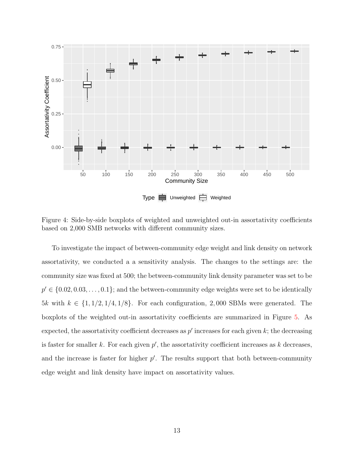

<span id="page-14-0"></span>Figure 4: Side-by-side boxplots of weighted and unweighted out-in assortativity coefficients based on 2,000 SMB networks with different community sizes.

To investigate the impact of between-community edge weight and link density on network assortativity, we conducted a a sensitivity analysis. The changes to the settings are: the community size was fixed at 500; the between-community link density parameter was set to be  $p' \in \{0.02, 0.03, \ldots, 0.1\}$ ; and the between-community edge weights were set to be identically 5k with  $k \in \{1, 1/2, 1/4, 1/8\}$ . For each configuration, 2,000 SBMs were generated. The boxplots of the weighted out-in assortativity coefficients are summarized in Figure [5.](#page-15-0) As expected, the assortativity coefficient decreases as  $p'$  increases for each given  $k$ ; the decreasing is faster for smaller  $k$ . For each given  $p'$ , the assortativity coefficient increases as  $k$  decreases, and the increase is faster for higher  $p'$ . The results support that both between-community edge weight and link density have impact on assortativity values.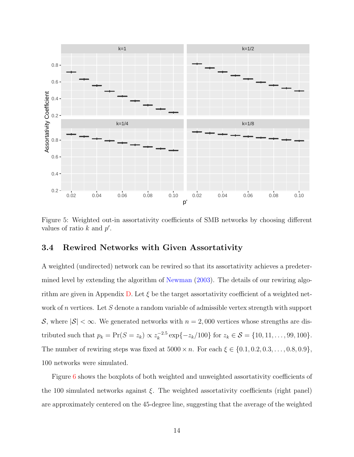

<span id="page-15-0"></span>Figure 5: Weighted out-in assortativity coefficients of SMB networks by choosing different values of ratio  $k$  and  $p'$ .

#### 3.4 Rewired Networks with Given Assortativity

A weighted (undirected) network can be rewired so that its assortativity achieves a predetermined level by extending the algorithm of [Newman](#page-22-2) [\(2003\)](#page-22-2). The details of our rewiring algo-rithm are given in Appendix [D.](#page-27-0) Let  $\xi$  be the target assortativity coefficient of a weighted network of n vertices. Let S denote a random variable of admissible vertex strength with support S, where  $|S| < \infty$ . We generated networks with  $n = 2,000$  vertices whose strengths are distributed such that  $p_k = \Pr(S = z_k) \propto z_k^{-2.5}$  $\int_{k}^{-2.5} \exp\{-z_k/100\}$  for  $z_k \in \mathcal{S} = \{10, 11, \ldots, 99, 100\}.$ The number of rewiring steps was fixed at  $5000 \times n$ . For each  $\xi \in \{0.1, 0.2, 0.3, \ldots, 0.8, 0.9\},\$ 100 networks were simulated.

Figure [6](#page-16-0) shows the boxplots of both weighted and unweighted assortativity coefficients of the 100 simulated networks against  $\xi$ . The weighted assortativity coefficients (right panel) are approximately centered on the 45-degree line, suggesting that the average of the weighted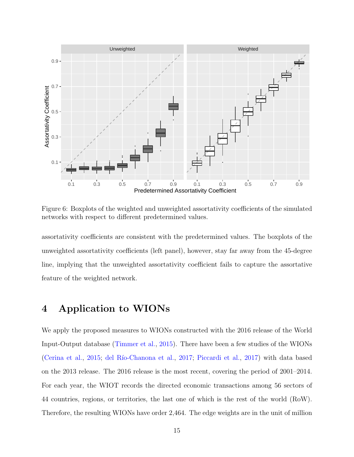

<span id="page-16-0"></span>Figure 6: Boxplots of the weighted and unweighted assortativity coefficients of the simulated networks with respect to different predetermined values.

assortativity coefficients are consistent with the predetermined values. The boxplots of the unweighted assortativity coefficients (left panel), however, stay far away from the 45-degree line, implying that the unweighted assortativity coefficient fails to capture the assortative feature of the weighted network.

### 4 Application to WIONs

We apply the proposed measures to WIONs constructed with the 2016 release of the World Input-Output database [\(Timmer et al.,](#page-23-5) [2015\)](#page-23-5). There have been a few studies of the WIONs [\(Cerina et al.,](#page-21-1) [2015;](#page-21-1) del Río-Chanona et al., [2017;](#page-22-11) [Piccardi et al.,](#page-23-6) [2017\)](#page-23-6) with data based on the 2013 release. The 2016 release is the most recent, covering the period of 2001–2014. For each year, the WIOT records the directed economic transactions among 56 sectors of 44 countries, regions, or territories, the last one of which is the rest of the world (RoW). Therefore, the resulting WIONs have order 2,464. The edge weights are in the unit of million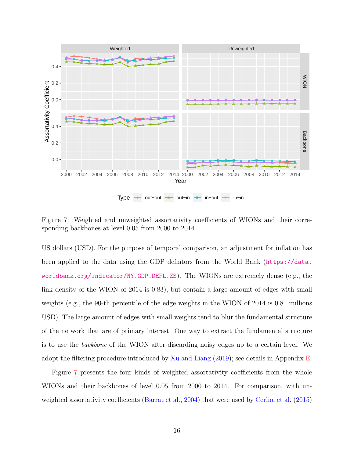

<span id="page-17-0"></span>Figure 7: Weighted and unweighted assortativity coefficients of WIONs and their corresponding backbones at level 0.05 from 2000 to 2014.

US dollars (USD). For the purpose of temporal comparison, an adjustment for inflation has been applied to the data using the GDP deflators from the World Bank ([https://data.](https://data.worldbank.org/indicator/NY.GDP.DEFL.ZS) [worldbank.org/indicator/NY.GDP.DEFL.ZS](https://data.worldbank.org/indicator/NY.GDP.DEFL.ZS)). The WIONs are extremely dense (e.g., the link density of the WION of 2014 is 0.83), but contain a large amount of edges with small weights (e.g., the 90-th percentile of the edge weights in the WION of 2014 is 0.81 millions USD). The large amount of edges with small weights tend to blur the fundamental structure of the network that are of primary interest. One way to extract the fundamental structure is to use the backbone of the WION after discarding noisy edges up to a certain level. We adopt the filtering procedure introduced by [Xu and Liang](#page-24-2) [\(2019\)](#page-24-2); see details in Appendix [E.](#page-29-0)

Figure [7](#page-17-0) presents the four kinds of weighted assortativity coefficients from the whole WIONs and their backbones of level 0.05 from 2000 to 2014. For comparison, with un-weighted assortativity coefficients [\(Barrat et al.,](#page-21-5) [2004\)](#page-21-5) that were used by [Cerina et al.](#page-21-1) [\(2015\)](#page-21-1)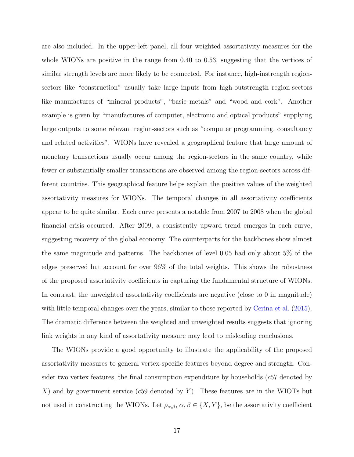are also included. In the upper-left panel, all four weighted assortativity measures for the whole WIONs are positive in the range from 0.40 to 0.53, suggesting that the vertices of similar strength levels are more likely to be connected. For instance, high-instrength regionsectors like "construction" usually take large inputs from high-outstrength region-sectors like manufactures of "mineral products", "basic metals" and "wood and cork". Another example is given by "manufactures of computer, electronic and optical products" supplying large outputs to some relevant region-sectors such as "computer programming, consultancy and related activities". WIONs have revealed a geographical feature that large amount of monetary transactions usually occur among the region-sectors in the same country, while fewer or substantially smaller transactions are observed among the region-sectors across different countries. This geographical feature helps explain the positive values of the weighted assortativity measures for WIONs. The temporal changes in all assortativity coefficients appear to be quite similar. Each curve presents a notable from 2007 to 2008 when the global financial crisis occurred. After 2009, a consistently upward trend emerges in each curve, suggesting recovery of the global economy. The counterparts for the backbones show almost the same magnitude and patterns. The backbones of level 0.05 had only about 5% of the edges preserved but account for over 96% of the total weights. This shows the robustness of the proposed assortativity coefficients in capturing the fundamental structure of WIONs. In contrast, the unweighted assortativity coefficients are negative (close to 0 in magnitude) with little temporal changes over the years, similar to those reported by [Cerina et al.](#page-21-1) [\(2015\)](#page-21-1). The dramatic difference between the weighted and unweighted results suggests that ignoring link weights in any kind of assortativity measure may lead to misleading conclusions.

The WIONs provide a good opportunity to illustrate the applicability of the proposed assortativity measures to general vertex-specific features beyond degree and strength. Consider two vertex features, the final consumption expenditure by households  $(c57$  denoted by X) and by government service (c59 denoted by Y). These features are in the WIOTs but not used in constructing the WIONs. Let  $\rho_{\alpha,\beta}$ ,  $\alpha,\beta \in \{X,Y\}$ , be the assortativity coefficient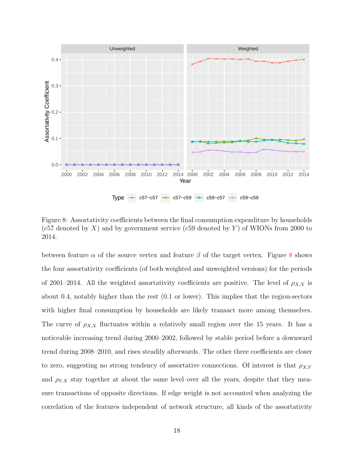

<span id="page-19-0"></span>Figure 8: Assortativity coefficients between the final consumption expenditure by households (c57 denoted by X) and by government service (c59 denoted by Y) of WIONs from 2000 to 2014.

between feature  $\alpha$  of the source vertex and feature  $\beta$  of the target vertex. Figure [8](#page-19-0) shows the four assortativity coefficients (of both weighted and unweighted versions) for the periods of 2001–2014. All the weighted assortativity coefficients are positive. The level of  $\rho_{X,X}$  is about 0.4, notably higher than the rest (0.1 or lower). This implies that the region-sectors with higher final consumption by households are likely transact more among themselves. The curve of  $\rho_{X,X}$  fluctuates within a relatively small region over the 15 years. It has a noticeable increasing trend during 2000–2002, followed by stable period before a downward trend during 2008–2010, and rises steadily afterwards. The other three coefficients are closer to zero, suggesting no strong tendency of assortative connections. Of interest is that  $\rho_{X,Y}$ and  $\rho_{Y,X}$  stay together at about the same level over all the years, despite that they measure transactions of opposite directions. If edge weight is not accounted when analyzing the correlation of the features independent of network structure, all kinds of the assortativity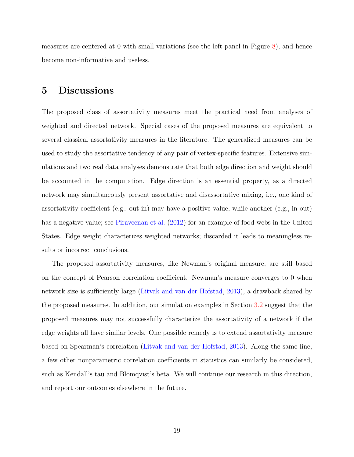measures are centered at 0 with small variations (see the left panel in Figure [8\)](#page-19-0), and hence become non-informative and useless.

# 5 Discussions

The proposed class of assortativity measures meet the practical need from analyses of weighted and directed network. Special cases of the proposed measures are equivalent to several classical assortativity measures in the literature. The generalized measures can be used to study the assortative tendency of any pair of vertex-specific features. Extensive simulations and two real data analyses demonstrate that both edge direction and weight should be accounted in the computation. Edge direction is an essential property, as a directed network may simultaneously present assortative and disassortative mixing, i.e., one kind of assortativity coefficient (e.g., out-in) may have a positive value, while another (e.g., in-out) has a negative value; see [Piraveenan et al.](#page-23-4) [\(2012\)](#page-23-4) for an example of food webs in the United States. Edge weight characterizes weighted networks; discarded it leads to meaningless results or incorrect conclusions.

The proposed assortativity measures, like Newman's original measure, are still based on the concept of Pearson correlation coefficient. Newman's measure converges to 0 when network size is sufficiently large [\(Litvak and van der Hofstad,](#page-22-4) [2013\)](#page-22-4), a drawback shared by the proposed measures. In addition, our simulation examples in Section [3.2](#page-9-1) suggest that the proposed measures may not successfully characterize the assortativity of a network if the edge weights all have similar levels. One possible remedy is to extend assortativity measure based on Spearman's correlation [\(Litvak and van der Hofstad,](#page-22-4) [2013\)](#page-22-4). Along the same line, a few other nonparametric correlation coefficients in statistics can similarly be considered, such as Kendall's tau and Blomqvist's beta. We will continue our research in this direction, and report our outcomes elsewhere in the future.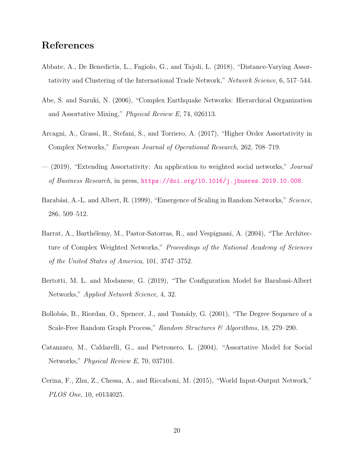# References

- <span id="page-21-2"></span>Abbate, A., De Benedictis, L., Fagiolo, G., and Tajoli, L. (2018), "Distance-Varying Assortativity and Clustering of the International Trade Network," Network Science, 6, 517–544.
- <span id="page-21-3"></span>Abe, S. and Suzuki, N. (2006), "Complex Earthquake Networks: Hierarchical Organization and Assortative Mixing," Physical Review E, 74, 026113.
- <span id="page-21-4"></span>Arcagni, A., Grassi, R., Stefani, S., and Torriero, A. (2017), "Higher Order Assortativity in Complex Networks," European Journal of Operational Research, 262, 708–719.
- <span id="page-21-6"></span>— (2019), "Extending Assortativity: An application to weighted social networks," *Journal* of Business Research, in press, <https://doi.org/10.1016/j.jbusres.2019.10.008>.
- <span id="page-21-7"></span>Barabási, A.-L. and Albert, R. (1999), "Emergence of Scaling in Random Networks," Science, 286, 509–512.
- <span id="page-21-5"></span>Barrat, A., Barthélemy, M., Pastor-Satorras, R., and Vespignani, A. (2004), "The Architecture of Complex Weighted Networks," Proceedings of the National Academy of Sciences of the United States of America, 101, 3747–3752.
- <span id="page-21-9"></span>Bertotti, M. L. and Modanese, G. (2019), "The Configuration Model for Barabasi-Albert Networks," Applied Network Science, 4, 32.
- <span id="page-21-8"></span>Bollobás, B., Riordan, O., Spencer, J., and Tusnády, G. (2001), "The Degree Sequence of a Scale-Free Random Graph Process," Random Structures & Algorithms, 18, 279–290.
- <span id="page-21-0"></span>Catanzaro, M., Caldarelli, G., and Pietronero, L. (2004), "Assortative Model for Social Networks," Physical Review E, 70, 037101.
- <span id="page-21-1"></span>Cerina, F., Zhu, Z., Chessa, A., and Riccaboni, M. (2015), "World Input-Output Network," PLOS One, 10, e0134025.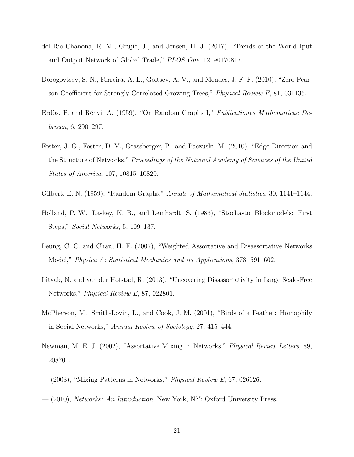- <span id="page-22-11"></span>del Río-Chanona, R. M., Grujić, J., and Jensen, H. J. (2017), "Trends of the World Iput and Output Network of Global Trade," PLOS One, 12, e0170817.
- <span id="page-22-3"></span>Dorogovtsev, S. N., Ferreira, A. L., Goltsev, A. V., and Mendes, J. F. F. (2010), "Zero Pearson Coefficient for Strongly Correlated Growing Trees," Physical Review E, 81, 031135.
- <span id="page-22-8"></span>Erdös, P. and Rényi, A. (1959), "On Random Graphs I," Publicationes Mathematicae Debrecen, 6, 290–297.
- <span id="page-22-7"></span>Foster, J. G., Foster, D. V., Grassberger, P., and Paczuski, M. (2010), "Edge Direction and the Structure of Networks," Proceedings of the National Academy of Sciences of the United States of America, 107, 10815–10820.
- <span id="page-22-9"></span>Gilbert, E. N. (1959), "Random Graphs," Annals of Mathematical Statistics, 30, 1141–1144.
- <span id="page-22-10"></span>Holland, P. W., Laskey, K. B., and Leinhardt, S. (1983), "Stochastic Blockmodels: First Steps," Social Networks, 5, 109–137.
- <span id="page-22-5"></span>Leung, C. C. and Chau, H. F. (2007), "Weighted Assortative and Disassortative Networks Model," Physica A: Statistical Mechanics and its Applications, 378, 591–602.
- <span id="page-22-4"></span>Litvak, N. and van der Hofstad, R. (2013), "Uncovering Disassortativity in Large Scale-Free Networks," Physical Review E, 87, 022801.
- <span id="page-22-1"></span>McPherson, M., Smith-Lovin, L., and Cook, J. M. (2001), "Birds of a Feather: Homophily in Social Networks," Annual Review of Sociology, 27, 415–444.
- <span id="page-22-0"></span>Newman, M. E. J. (2002), "Assortative Mixing in Networks," Physical Review Letters, 89, 208701.
- <span id="page-22-2"></span> $-$  (2003), "Mixing Patterns in Networks," *Physical Review E*, 67, 026126.
- <span id="page-22-6"></span>— (2010), Networks: An Introduction, New York, NY: Oxford University Press.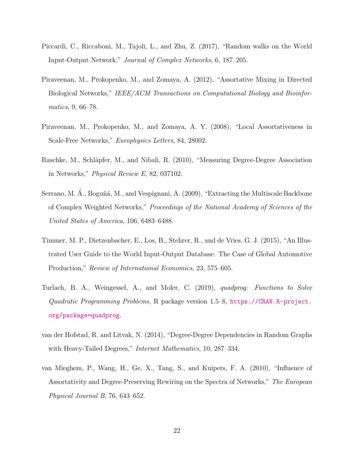- <span id="page-23-6"></span>Piccardi, C., Riccaboni, M., Tajoli, L., and Zhu, Z. (2017), "Random walks on the World Input-Output Network," Journal of Complex Networks, 6, 187–205.
- <span id="page-23-4"></span>Piraveenan, M., Prokopenko, M., and Zomaya, A. (2012), "Assortative Mixing in Directed Biological Networks," IEEE/ACM Transactions on Computational Biology and Bioinformatics, 9, 66–78.
- <span id="page-23-1"></span>Piraveenan, M., Prokopenko, M., and Zomaya, A. Y. (2008), "Local Assortativeness in Scale-Free Networks," Europhysics Letters, 84, 28002.
- <span id="page-23-3"></span>Raschke, M., Schläpfer, M., and Nibali, R. (2010), "Measuring Degree-Degree Association in Networks," Physical Review E, 82, 037102.
- <span id="page-23-8"></span>Serrano, M. Á., Boguñá, M., and Vespignani, A. (2009), "Extracting the Multiscale Backbone of Complex Weighted Networks," Proceedings of the National Academy of Sciences of the United States of America, 106, 6483–6488.
- <span id="page-23-5"></span>Timmer, M. P., Dietzenbacher, E., Los, B., Stehrer, R., and de Vries, G. J. (2015), "An Illustrated User Guide to the World Input-Output Database: The Case of Global Automotive Production," Review of International Economics, 23, 575–605.
- <span id="page-23-7"></span>Turlach, B. A., Weingessel, A., and Moler, C. (2019), *quadprog: Functions to Solve* Quadratic Programming Problems, R package version 1.5–8, [https://CRAN.R-project.](https://CRAN.R-project.org/package=quadprog) [org/package=quadprog](https://CRAN.R-project.org/package=quadprog).
- <span id="page-23-0"></span>van der Hofstad, R. and Litvak, N. (2014), "Degree-Degree Dependencies in Random Graphs with Heavy-Tailed Degrees," *Internet Mathematics*, 10, 287–334.
- <span id="page-23-2"></span>van Mieghem, P., Wang, H., Ge, X., Tang, S., and Kuipers, F. A. (2010), "Influence of Assortativity and Degree-Preserving Rewiring on the Spectra of Networks," The European Physical Journal B, 76, 643–652.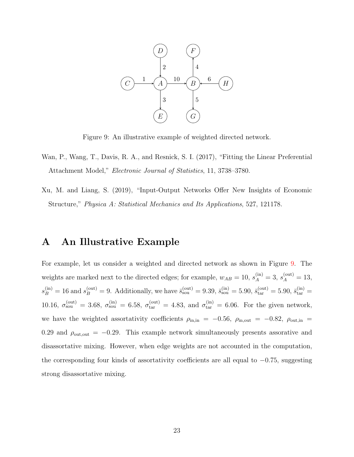

<span id="page-24-3"></span>Figure 9: An illustrative example of weighted directed network.

- <span id="page-24-1"></span>Wan, P., Wang, T., Davis, R. A., and Resnick, S. I. (2017), "Fitting the Linear Preferential Attachment Model," Electronic Journal of Statistics, 11, 3738–3780.
- <span id="page-24-2"></span>Xu, M. and Liang, S. (2019), "Input-Output Networks Offer New Insights of Economic Structure," Physica A: Statistical Mechanics and Its Applications, 527, 121178.

### <span id="page-24-0"></span>A An Illustrative Example

For example, let us consider a weighted and directed network as shown in Figure [9.](#page-24-3) The weights are marked next to the directed edges; for example,  $w_{AB} = 10$ ,  $s_A^{\text{(in)}} = 3$ ,  $s_A^{\text{(out)}} = 13$ ,  $s_B^{\text{(in)}} = 16$  and  $s_B^{\text{(out)}} = 9$ . Additionally, we have  $\bar{s}_{\text{sou}}^{\text{(out)}} = 9.39$ ,  $\bar{s}_{\text{sou}}^{\text{(in)}} = 5.90$ ,  $\bar{s}_{\text{tar}}^{\text{(out)}} = 5.90$ ,  $\bar{s}_{\text{tar}}^{\text{(in)}} = 5.90$ 10.16,  $\sigma_{sou}^{(out)} = 3.68$ ,  $\sigma_{sou}^{(in)} = 6.58$ ,  $\sigma_{tar}^{(out)} = 4.83$ , and  $\sigma_{tar}^{(in)} = 6.06$ . For the given network, we have the weighted assortativity coefficients  $\rho_{\text{in,in}} = -0.56$ ,  $\rho_{\text{in,out}} = -0.82$ ,  $\rho_{\text{out,in}} =$ 0.29 and  $\rho_{\text{out,out}} = -0.29$ . This example network simultaneously presents assorative and disassortative mixing. However, when edge weights are not accounted in the computation, the corresponding four kinds of assortativity coefficients are all equal to  $-0.75$ , suggesting strong disassortative mixing.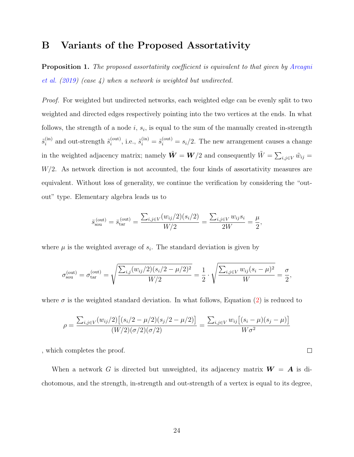#### <span id="page-25-1"></span>B Variants of the Proposed Assortativity

<span id="page-25-0"></span>**Proposition 1.** The proposed assortativity coefficient is equivalent to that given by [Arcagni](#page-21-6) [et al.](#page-21-6) [\(2019\)](#page-21-6) (case 4) when a network is weighted but undirected.

*Proof.* For weighted but undirected networks, each weighted edge can be evenly split to two weighted and directed edges respectively pointing into the two vertices at the ends. In what follows, the strength of a node  $i, s_i$ , is equal to the sum of the manually created in-strength  $\tilde{s}_i^{\text{(in)}}$  $\tilde{s}_i^{\text{(out)}}$  and out-strength  $\tilde{s}_i^{\text{(out)}}$  $\tilde{s}_i^{(\text{out})}$ , i.e.,  $\tilde{s}_i^{(\text{in})} = \tilde{s}_i^{(\text{out})} = s_i/2$ . The new arrangement causes a change in the weighted adjacency matrix; namely  $\tilde{W} = W/2$  and consequently  $\tilde{W} = \sum_{i,j \in V} \tilde{w}_{ij} =$  $W/2$ . As network direction is not accounted, the four kinds of assortativity measures are equivalent. Without loss of generality, we continue the verification by considering the "outout" type. Elementary algebra leads us to

$$
\bar{s}_{sou}^{(out)} = \bar{s}_{tar}^{(out)} = \frac{\sum_{i,j \in V} (w_{ij}/2)(s_i/2)}{W/2} = \frac{\sum_{i,j \in V} w_{ij} s_i}{2W} = \frac{\mu}{2},
$$

where  $\mu$  is the weighted average of  $s_i$ . The standard deviation is given by

$$
\sigma_{sou}^{(out)} = \sigma_{tar}^{(out)} = \sqrt{\frac{\sum_{i,j} (w_{ij}/2)(s_i/2 - \mu/2)^2}{W/2}} = \frac{1}{2} \cdot \sqrt{\frac{\sum_{i,j \in V} w_{ij}(s_i - \mu)^2}{W}} = \frac{\sigma}{2},
$$

where  $\sigma$  is the weighted standard deviation. In what follows, Equation [\(2\)](#page-6-0) is reduced to

$$
\rho = \frac{\sum_{i,j \in V} (w_{ij}/2) \left[ (s_i/2 - \mu/2)(s_j/2 - \mu/2) \right]}{(W/2)(\sigma/2)(\sigma/2)} = \frac{\sum_{i,j \in V} w_{ij} \left[ (s_i - \mu)(s_j - \mu) \right]}{W \sigma^2}
$$

 $\Box$ 

, which completes the proof.

When a network G is directed but unweighted, its adjacency matrix  $W = A$  is dichotomous, and the strength, in-strength and out-strength of a vertex is equal to its degree,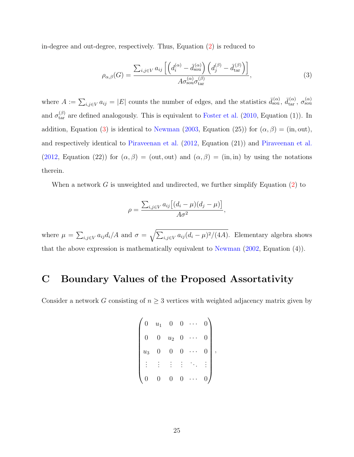in-degree and out-degree, respectively. Thus, Equation [\(2\)](#page-6-0) is reduced to

<span id="page-26-1"></span>
$$
\rho_{\alpha,\beta}(G) = \frac{\sum_{i,j \in V} a_{ij} \left[ \left( d_i^{(\alpha)} - \bar{d}_{\text{sou}}^{(\alpha)} \right) \left( d_j^{(\beta)} - \bar{d}_{\text{tar}}^{(\beta)} \right) \right]}{A \sigma_{\text{sou}}^{(\alpha)} \sigma_{\text{tar}}^{(\beta)}},\tag{3}
$$

where  $A := \sum_{i,j\in V} a_{ij} = |E|$  counts the number of edges, and the statistics  $\bar{d}_{sou}^{(\alpha)}$ ,  $\bar{d}_{tar}^{(\alpha)}$ ,  $\sigma_{sou}^{(\alpha)}$ and  $\sigma_{\text{tar}}^{(\beta)}$  are defined analogously. This is equivalent to [Foster et al.](#page-22-7) [\(2010,](#page-22-7) Equation (1)). In addition, Equation [\(3\)](#page-26-1) is identical to [Newman](#page-22-2) [\(2003,](#page-22-2) Equation (25)) for  $(\alpha, \beta) = (in, out)$ , and respectively identical to [Piraveenan et al.](#page-23-4) [\(2012,](#page-23-4) Equation (21)) and [Piraveenan et al.](#page-23-4) [\(2012,](#page-23-4) Equation (22)) for  $(\alpha, \beta) = (\text{out}, \text{out})$  and  $(\alpha, \beta) = (\text{in}, \text{in})$  by using the notations therein.

When a network G is unweighted and undirected, we further simplify Equation [\(2\)](#page-6-0) to

$$
\rho = \frac{\sum_{i,j \in V} a_{ij} \left[ (d_i - \mu)(d_j - \mu) \right]}{A \sigma^2},
$$

where  $\mu = \sum_{i,j \in V} a_{ij} d_i / A$  and  $\sigma = \sqrt{\sum_{i,j \in V} a_{ij} (d_i - \mu)^2 / (4A)}$ . Elementary algebra shows that the above expression is mathematically equivalent to [Newman](#page-22-0) [\(2002,](#page-22-0) Equation (4)).

#### <span id="page-26-0"></span>C Boundary Values of the Proposed Assortativity

Consider a network G consisting of  $n \geq 3$  vertices with weighted adjacency matrix given by

$$
\begin{pmatrix} 0 & u_1 & 0 & 0 & \cdots & 0 \\ 0 & 0 & u_2 & 0 & \cdots & 0 \\ u_3 & 0 & 0 & 0 & \cdots & 0 \\ \vdots & \vdots & \vdots & \vdots & \ddots & \vdots \\ 0 & 0 & 0 & 0 & \cdots & 0 \end{pmatrix},
$$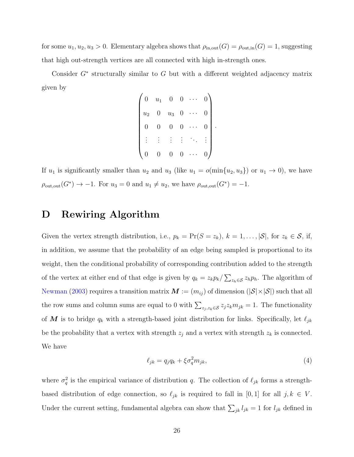for some  $u_1, u_2, u_3 > 0$ . Elementary algebra shows that  $\rho_{\text{in,out}}(G) = \rho_{\text{out,in}}(G) = 1$ , suggesting that high out-strength vertices are all connected with high in-strength ones.

Consider  $G^*$  structurally similar to  $G$  but with a different weighted adjacency matrix given by

| $\overline{0}$ | $u_1$ | $\boldsymbol{0}$   | $\overline{0}$ |   |  |
|----------------|-------|--------------------|----------------|---|--|
| $u_2$          |       | $\boldsymbol{u_3}$ | $\overline{0}$ | 0 |  |
| O              |       | 0                  | $\overline{0}$ |   |  |
|                |       |                    |                |   |  |
|                |       | O                  | 0              |   |  |

If  $u_1$  is significantly smaller than  $u_2$  and  $u_3$  (like  $u_1 = o(\min\{u_2, u_3\})$  or  $u_1 \to 0$ ), we have  $\rho_{\text{out,out}}(G^*) \to -1$ . For  $u_3 = 0$  and  $u_1 \neq u_2$ , we have  $\rho_{\text{out,out}}(G^*) = -1$ .

# <span id="page-27-0"></span>D Rewiring Algorithm

Given the vertex strength distribution, i.e.,  $p_k = \Pr(S = z_k)$ ,  $k = 1, ..., |\mathcal{S}|$ , for  $z_k \in \mathcal{S}$ , if, in addition, we assume that the probability of an edge being sampled is proportional to its weight, then the conditional probability of corresponding contribution added to the strength of the vertex at either end of that edge is given by  $q_k = z_k p_k / \sum_{z_h \in S} z_h p_h$ . The algorithm of [Newman](#page-22-2) [\(2003\)](#page-22-2) requires a transition matrix  $M := (m_{ij})$  of dimension  $(|S| \times |S|)$  such that all the row sums and column sums are equal to 0 with  $\sum_{z_j, z_k \in S} z_j z_k m_{jk} = 1$ . The functionality of M is to bridge  $q_k$  with a strength-based joint distribution for links. Specifically, let  $\ell_{jk}$ be the probability that a vertex with strength  $z_j$  and a vertex with strength  $z_k$  is connected. We have

<span id="page-27-1"></span>
$$
\ell_{jk} = q_j q_k + \xi \sigma_q^2 m_{jk},\tag{4}
$$

where  $\sigma_q^2$  is the empirical variance of distribution q. The collection of  $\ell_{jk}$  forms a strengthbased distribution of edge connection, so  $\ell_{jk}$  is required to fall in [0, 1] for all  $j, k \in V$ . Under the current setting, fundamental algebra can show that  $\sum_{jk} l_{jk} = 1$  for  $l_{jk}$  defined in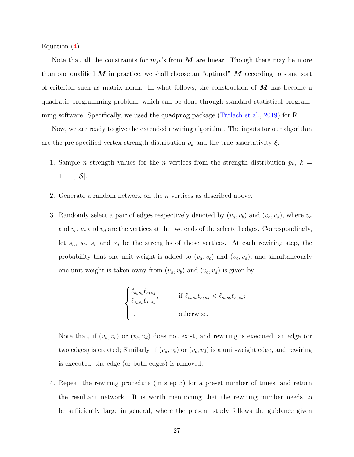Equation [\(4\)](#page-27-1).

Note that all the constraints for  $m_{jk}$ 's from  $\boldsymbol{M}$  are linear. Though there may be more than one qualified  $M$  in practice, we shall choose an "optimal"  $M$  according to some sort of criterion such as matrix norm. In what follows, the construction of  $\overline{M}$  has become a quadratic programming problem, which can be done through standard statistical programming software. Specifically, we used the quadprog package [\(Turlach et al.,](#page-23-7) [2019\)](#page-23-7) for R.

Now, we are ready to give the extended rewiring algorithm. The inputs for our algorithm are the pre-specified vertex strength distribution  $p_k$  and the true assortativity  $\xi$ .

- 1. Sample *n* strength values for the *n* vertices from the strength distribution  $p_k$ ,  $k =$  $1, \ldots, |\mathcal{S}|.$
- 2. Generate a random network on the n vertices as described above.
- 3. Randomly select a pair of edges respectively denoted by  $(v_a, v_b)$  and  $(v_c, v_d)$ , where  $v_a$ and  $v_b$ ,  $v_c$  and  $v_d$  are the vertices at the two ends of the selected edges. Correspondingly, let  $s_a$ ,  $s_b$ ,  $s_c$  and  $s_d$  be the strengths of those vertices. At each rewiring step, the probability that one unit weight is added to  $(v_a, v_c)$  and  $(v_b, v_d)$ , and simultaneously one unit weight is taken away from  $(v_a, v_b)$  and  $(v_c, v_d)$  is given by

$$
\begin{cases} \frac{\ell_{s_a s_c} \ell_{s_b s_d}}{\ell_{s_a s_b} \ell_{s_c s_d}}, & \text{if } \ell_{s_a s_c} \ell_{s_b s_d} < \ell_{s_a s_b} \ell_{s_c s_d};\\ 1, & \text{otherwise.} \end{cases}
$$

Note that, if  $(v_a, v_c)$  or  $(v_b, v_d)$  does not exist, and rewiring is executed, an edge (or two edges) is created; Similarly, if  $(v_a, v_b)$  or  $(v_c, v_d)$  is a unit-weight edge, and rewiring is executed, the edge (or both edges) is removed.

4. Repeat the rewiring procedure (in step 3) for a preset number of times, and return the resultant network. It is worth mentioning that the rewiring number needs to be sufficiently large in general, where the present study follows the guidance given